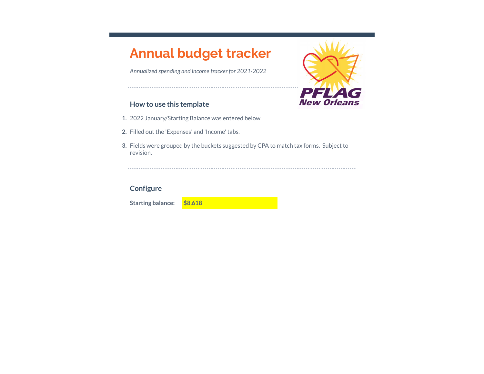# **Annual budget tracker**

*Annualized spending and income tracker for 2021-2022*



# **How to use this template**

- **1.** 2022 January/Starting Balance was entered below
- **2.** Filled out the 'Expenses' and 'Income' tabs.
- **3.** Fields were grouped by the buckets suggested by CPA to match tax forms. Subject to revision.

# **Configure**

**Starting balance: \$8,618**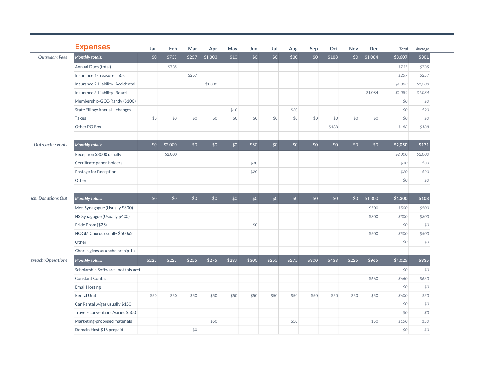|                           | <b>Expenses</b>                      | Jan   | Feb     | Mar   | Apr     | May   | Jun   | Jul   | Aug   | Sep   | Oct   | Nov   | <b>Dec</b> | Total   | Average |
|---------------------------|--------------------------------------|-------|---------|-------|---------|-------|-------|-------|-------|-------|-------|-------|------------|---------|---------|
| <b>Outreach: Fees</b>     | Monthly totals:                      | \$0   | \$735   | \$257 | \$1,303 | \$10  | \$0   | \$0   | \$30  | \$0   | \$188 | \$0   | \$1,084    | \$3,607 | \$301   |
|                           | Annual Dues (total)                  |       | \$735   |       |         |       |       |       |       |       |       |       |            | \$735   | \$735   |
|                           | Insurance 1-Treasurer, 50k           |       |         | \$257 |         |       |       |       |       |       |       |       |            | \$257   | \$257   |
|                           | Insurance 2-Liability -Accidental    |       |         |       | \$1,303 |       |       |       |       |       |       |       |            | \$1,303 | \$1,303 |
|                           | Insurance 3-Liability -Board         |       |         |       |         |       |       |       |       |       |       |       | \$1,084    | \$1,084 | \$1,084 |
|                           | Membership-GCC-Randy (\$100)         |       |         |       |         |       |       |       |       |       |       |       |            | \$0     | \$0     |
|                           | State Filing=Annual + changes        |       |         |       |         | \$10  |       |       | \$30  |       |       |       |            | \$0     | \$20    |
|                           | Taxes                                | \$0   | \$0     | \$0   | \$0     | \$0   | \$0   | \$0   | \$0   | \$0   | \$0   | \$0   | \$0        | \$0     | \$0     |
|                           | Other PO Box                         |       |         |       |         |       |       |       |       |       | \$188 |       |            | \$188   | \$188   |
| <b>Outreach: Events</b>   | <b>Monthly totals:</b>               | \$0   | \$2,000 | \$0   | \$0     | \$0   | \$50  | \$0   | \$0   | \$0   | \$0   | \$0   | \$0        | \$2,050 | \$171   |
|                           | Reception \$3000 usually             |       | \$2,000 |       |         |       |       |       |       |       |       |       |            | \$2,000 | \$2,000 |
|                           | Certificate paper, holders           |       |         |       |         |       | \$30  |       |       |       |       |       |            | \$30    | \$30    |
|                           | Postage for Reception                |       |         |       |         |       | \$20  |       |       |       |       |       |            | \$20    | \$20    |
|                           | Other                                |       |         |       |         |       |       |       |       |       |       |       |            | \$0     | \$0     |
|                           |                                      |       |         |       |         |       |       |       |       |       |       |       |            |         |         |
| <i>ach: Donations Out</i> | <b>Monthly totals:</b>               | \$0   | \$0     | \$0   | \$0     | \$0   | \$0   | \$0   | \$0   | \$0   | \$0   | \$0   | \$1,300    | \$1,300 | \$108   |
|                           | Met. Synagogue (Usually \$600)       |       |         |       |         |       |       |       |       |       |       |       | \$500      | \$500   | \$500   |
|                           | NS Synagogue (Usually \$400)         |       |         |       |         |       |       |       |       |       |       |       | \$300      | \$300   | \$300   |
|                           | Pride Prom (\$25)                    |       |         |       |         |       | \$0   |       |       |       |       |       |            | \$0     | \$0     |
|                           | NOGM Chorus usually \$500x2          |       |         |       |         |       |       |       |       |       |       |       | \$500      | \$500   | \$500   |
|                           | Other                                |       |         |       |         |       |       |       |       |       |       |       |            | \$0     | \$0     |
|                           | Chorus gives us a scholarship 1k     |       |         |       |         |       |       |       |       |       |       |       |            |         |         |
| treach: Operations        | <b>Monthly totals:</b>               | \$225 | \$225   | \$255 | \$275   | \$287 | \$300 | \$255 | \$275 | \$300 | \$438 | \$225 | \$965      | \$4,025 | \$335   |
|                           | Scholarship Software - not this acct |       |         |       |         |       |       |       |       |       |       |       |            | \$0     | \$0     |
|                           | <b>Constant Contact</b>              |       |         |       |         |       |       |       |       |       |       |       | \$660      | \$660   | \$660   |
|                           | <b>Email Hosting</b>                 |       |         |       |         |       |       |       |       |       |       |       |            | \$0     | \$0     |
|                           | Rental Unit                          | \$50  | \$50    | \$50  | \$50    | \$50  | \$50  | \$50  | \$50  | \$50  | \$50  | \$50  | \$50       | \$600   | \$50    |
|                           | Car Rental w/gas usually \$150       |       |         |       |         |       |       |       |       |       |       |       |            | \$0     | \$0     |
|                           | Travel - conventions/varies \$500    |       |         |       |         |       |       |       |       |       |       |       |            | \$0     | \$0     |
|                           | Marketing-proposed materials         |       |         |       | \$50    |       |       |       | \$50  |       |       |       | \$50       | \$150   | \$50    |
|                           | Domain Host \$16 prepaid             |       |         | \$0   |         |       |       |       |       |       |       |       |            | \$0     | \$0     |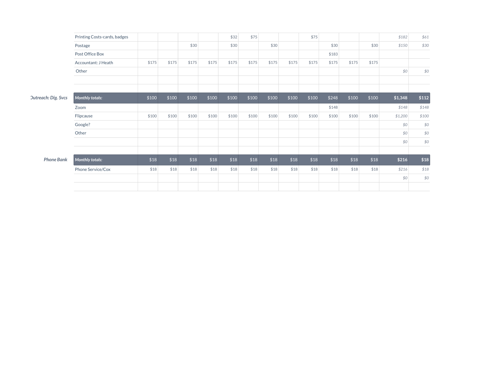|                            | Printing Costs-cards, badges |       |       |       |       | \$32  | \$75  |       |       | \$75  |       |       |       | \$182   | \$61  |
|----------------------------|------------------------------|-------|-------|-------|-------|-------|-------|-------|-------|-------|-------|-------|-------|---------|-------|
|                            | Postage                      |       |       | \$30  |       | \$30  |       | \$30  |       |       | \$30  |       | \$30  | \$150   | \$30  |
|                            | Post Office Box              |       |       |       |       |       |       |       |       |       | \$183 |       |       |         |       |
|                            | Accountant: J Heath          | \$175 | \$175 | \$175 | \$175 | \$175 | \$175 | \$175 | \$175 | \$175 | \$175 | \$175 | \$175 |         |       |
|                            | Other                        |       |       |       |       |       |       |       |       |       |       |       |       | \$0     | \$0   |
|                            |                              |       |       |       |       |       |       |       |       |       |       |       |       |         |       |
|                            |                              |       |       |       |       |       |       |       |       |       |       |       |       |         |       |
| <b>Dutreach: Dig. Svcs</b> | <b>Monthly totals:</b>       | \$100 | \$100 | \$100 | \$100 | \$100 | \$100 | \$100 | \$100 | \$100 | \$248 | \$100 | \$100 | \$1,348 | \$112 |
|                            | Zoom                         |       |       |       |       |       |       |       |       |       | \$148 |       |       | \$148   | \$148 |
|                            | Flipcause                    | \$100 | \$100 | \$100 | \$100 | \$100 | \$100 | \$100 | \$100 | \$100 | \$100 | \$100 | \$100 | \$1,200 | \$100 |
|                            | Google?                      |       |       |       |       |       |       |       |       |       |       |       |       | \$0     | \$0   |
|                            | Other                        |       |       |       |       |       |       |       |       |       |       |       |       | \$0     | \$0   |
|                            |                              |       |       |       |       |       |       |       |       |       |       |       |       | \$0     | \$0   |
|                            |                              |       |       |       |       |       |       |       |       |       |       |       |       |         |       |
| <b>Phone Bank</b>          | <b>Monthly totals:</b>       | \$18  | \$18  | \$18  | \$18  | \$18  | \$18  | \$18  | \$18  | \$18  | \$18  | \$18  | \$18  | \$216   | $$18$ |
|                            | Phone Service/Cox            | \$18  | \$18  | \$18  | \$18  | \$18  | \$18  | \$18  | \$18  | \$18  | \$18  | \$18  | \$18  | \$216   | \$18  |
|                            |                              |       |       |       |       |       |       |       |       |       |       |       |       | \$0     | \$0   |
|                            |                              |       |       |       |       |       |       |       |       |       |       |       |       |         |       |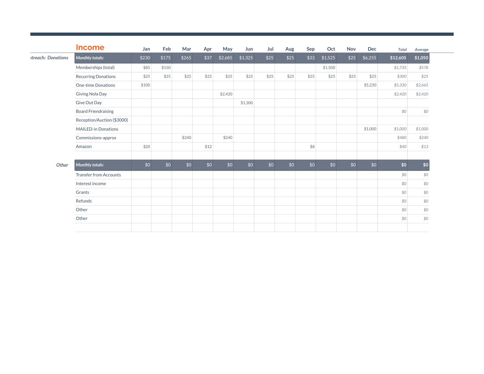| <b>Income</b>                 | Jan   | Feb   | Mar   | Apr  | May     | Jun     | Jul  | Aug  | Sep  | Oct     | <b>Nov</b> | <b>Dec</b> | Total    | Average |
|-------------------------------|-------|-------|-------|------|---------|---------|------|------|------|---------|------------|------------|----------|---------|
| <b>Monthly totals:</b>        | \$230 | \$175 | \$265 | \$37 | \$2,685 | \$1,325 | \$25 | \$25 | \$33 | \$1,525 | \$25       | \$6,255    | \$12,605 | \$1,050 |
| Memberships (total)           | \$85  | \$150 |       |      |         |         |      |      |      | \$1,500 |            |            | \$1,735  | \$578   |
| <b>Recurring Donations</b>    | \$25  | \$25  | \$25  | \$25 | \$25    | \$25    | \$25 | \$25 | \$25 | \$25    | \$25       | \$25       | \$300    | \$25    |
| One-time Donations            | \$100 |       |       |      |         |         |      |      |      |         |            | \$5,230    | \$5,330  | \$2,665 |
| Giving Nola Day               |       |       |       |      | \$2,420 |         |      |      |      |         |            |            | \$2,420  | \$2,420 |
| Give Out Day                  |       |       |       |      |         | \$1,300 |      |      |      |         |            |            |          |         |
| <b>Board Friendraising</b>    |       |       |       |      |         |         |      |      |      |         |            |            | \$0      | \$0     |
| Reception/Auction (\$3000)    |       |       |       |      |         |         |      |      |      |         |            |            |          |         |
| <b>MAILED-in Donations</b>    |       |       |       |      |         |         |      |      |      |         |            | \$1,000    | \$1,000  | \$1,000 |
| Commissions-approx            |       |       | \$240 |      | \$240   |         |      |      |      |         |            |            | \$480    | \$240   |
| Amazon                        | \$20  |       |       | \$12 |         |         |      |      | \$8  |         |            |            | \$40     | \$13    |
| <b>Monthly totals:</b>        | \$0   | \$0   | \$0   | \$0  | \$0     | \$0     | \$0  | \$0  | \$0  | \$0     | \$0        | \$0        | \$0      | \$0     |
| <b>Transfer from Accounts</b> |       |       |       |      |         |         |      |      |      |         |            |            | \$0      | \$0     |
| Interest income               |       |       |       |      |         |         |      |      |      |         |            |            | \$0      | \$0     |
| Grants                        |       |       |       |      |         |         |      |      |      |         |            |            | \$0      | \$0     |
| Refunds                       |       |       |       |      |         |         |      |      |      |         |            |            | \$0      | \$0     |
| Other                         |       |       |       |      |         |         |      |      |      |         |            |            | \$0      | \$0     |
| Other                         |       |       |       |      |         |         |      |      |      |         |            |            | \$0      | \$0     |
|                               |       |       |       |      |         |         |      |      |      |         |            |            |          |         |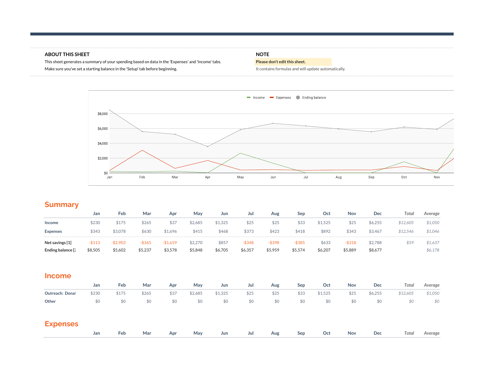### **ABOUT THIS SHEET NOTE**

This sheet generates a summary of your spending based on data in the 'Expenses' and 'Income' tabs. **Please don't edit this sheet.** Make sure you've set a starting balance in the 'Setup' tab before beginning. Make sure what is a large starting balance in the 'Setup' tab before beginning.



# **Summary**

|                                                   | Jan               | Feb                  | Mar               | Apr                     | May                | Jun              | Jul                  | Aug               | Sep                  | Oct              | Nov                  | Dec                | Total    | Average            |
|---------------------------------------------------|-------------------|----------------------|-------------------|-------------------------|--------------------|------------------|----------------------|-------------------|----------------------|------------------|----------------------|--------------------|----------|--------------------|
| Income                                            | \$230             | \$175                | \$265             | \$37                    | \$2.685            | \$1.325          | \$25                 | \$25              | \$33                 | \$1.525          | \$25                 | \$6.255            | \$12.605 | \$1.050            |
| <b>Expenses</b>                                   | \$343             | \$3.078              | \$630             | \$1.696                 | \$415              | \$468            | \$373                | \$423             | \$418                | \$892            | \$343                | \$3,467            | \$12.546 | \$1.046            |
| Net savings [1]<br>Ending balance $\mathfrak l$ . | -\$113<br>\$8.505 | $-$2.903$<br>\$5,602 | -\$365<br>\$5.237 | 1,659<br>-81<br>\$3.578 | \$2.270<br>\$5,848 | \$857<br>\$6.705 | $-$ \$348<br>\$6,357 | -\$398<br>\$5.959 | $-$ \$385<br>\$5.574 | \$633<br>\$6.207 | $-$ \$318<br>\$5.889 | \$2.788<br>\$8,677 | \$59     | \$1.637<br>\$6.178 |

| <b>Income</b>   |       |       |       |      |         |         |      |      |      |         |      |         |          |         |
|-----------------|-------|-------|-------|------|---------|---------|------|------|------|---------|------|---------|----------|---------|
|                 | Jan   | Feb   | Mar   | Apr  | May     | Jun     | Jul  | Aug  | Sep  | Oct     | Nov  | Dec     | Total    | Average |
| Outreach: Donat | \$230 | \$175 | \$265 | \$37 | \$2,685 | \$1,325 | \$25 | \$25 | \$33 | \$1,525 | \$25 | \$6,255 | \$12,605 | \$1,050 |
| Other           | \$0   | \$0   | \$0   | \$0  | \$0     | \$0     | \$0  | \$0  | \$0  | \$0     | \$0  | \$0     | \$0      | \$0     |
| <b>Expenses</b> |       |       |       |      |         |         |      |      |      |         |      |         |          |         |

|  |  |  |  |  |  | Jan Feb Mar Apr May Jun Jul Aug Sep Oct Nov Dec Total Average |  |
|--|--|--|--|--|--|---------------------------------------------------------------|--|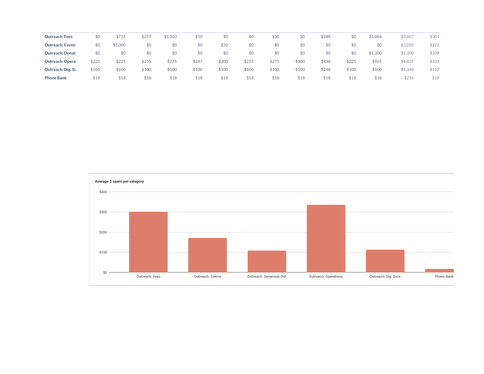| <b>Outreach: Fees</b>   | \$0   | \$735   | \$257 | \$1,303 | \$10  | \$0   | 50    | \$30  | \$0   | \$188 | \$0   | \$1,084 | \$3,607 | \$301 |
|-------------------------|-------|---------|-------|---------|-------|-------|-------|-------|-------|-------|-------|---------|---------|-------|
| <b>Outreach: Event:</b> | \$0   | \$2,000 | \$0   | \$0     | \$0   | \$50  | \$0   | \$0   | \$0   | \$0   | \$0   | \$0     | \$2,050 | \$171 |
| <b>Outreach: Donat</b>  | \$0   | \$0     | \$0   | \$0     | \$0   | \$0   | \$0   | \$0   | \$0   | \$0   | \$0   | \$1,300 | \$1,300 | \$108 |
| <b>Outreach: Opera</b>  | \$225 | \$225   | \$255 | \$275   | \$287 | \$300 | \$255 | \$275 | \$300 | \$438 | \$225 | \$965   | \$4,025 | \$335 |
| Outreach: Dig. Sy       | \$100 | \$100   | \$100 | \$100   | \$100 | \$100 | \$10C | \$100 | \$100 | \$248 | \$100 | \$100   | \$1,348 | \$112 |
| <b>Phone Bank</b>       | \$18  | \$18    | \$18  | \$18    | \$18  | \$18  | \$18  | \$18  | \$18  | \$18  | \$18  | \$18    | \$216   | \$18  |